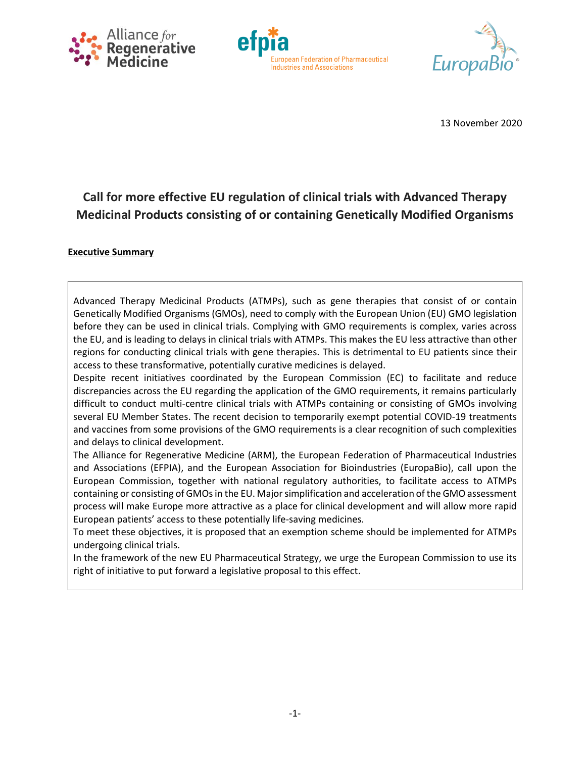





13 November 2020

# **Call for more effective EU regulation of clinical trials with Advanced Therapy Medicinal Products consisting of or containing Genetically Modified Organisms**

#### **Executive Summary**

Advanced Therapy Medicinal Products (ATMPs), such as gene therapies that consist of or contain Genetically Modified Organisms (GMOs), need to comply with the European Union (EU) GMO legislation before they can be used in clinical trials. Complying with GMO requirements is complex, varies across the EU, and is leading to delays in clinical trials with ATMPs. This makes the EU less attractive than other regions for conducting clinical trials with gene therapies. This is detrimental to EU patients since their access to these transformative, potentially curative medicines is delayed.

Despite recent initiatives coordinated by the European Commission (EC) to facilitate and reduce discrepancies across the EU regarding the application of the GMO requirements, it remains particularly difficult to conduct multi-centre clinical trials with ATMPs containing or consisting of GMOs involving several EU Member States. The recent decision to temporarily exempt potential COVID-19 treatments and vaccines from some provisions of the GMO requirements is a clear recognition of such complexities and delays to clinical development.

The Alliance for Regenerative Medicine (ARM), the European Federation of Pharmaceutical Industries and Associations (EFPIA), and the European Association for Bioindustries (EuropaBio), call upon the European Commission, together with national regulatory authorities, to facilitate access to ATMPs containing or consisting of GMOs in the EU. Major simplification and acceleration of the GMO assessment process will make Europe more attractive as a place for clinical development and will allow more rapid European patients' access to these potentially life-saving medicines*.*

To meet these objectives, it is proposed that an exemption scheme should be implemented for ATMPs undergoing clinical trials.

In the framework of the new EU Pharmaceutical Strategy, we urge the European Commission to use its right of initiative to put forward a legislative proposal to this effect.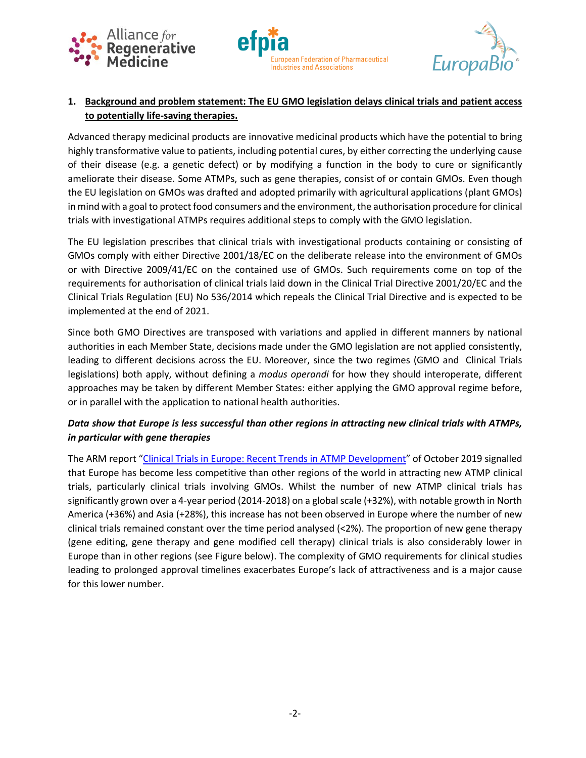





# **1. Background and problem statement: The EU GMO legislation delays clinical trials and patient access to potentially life-saving therapies.**

Advanced therapy medicinal products are innovative medicinal products which have the potential to bring highly transformative value to patients, including potential cures, by either correcting the underlying cause of their disease (e.g. a genetic defect) or by modifying a function in the body to cure or significantly ameliorate their disease. Some ATMPs, such as gene therapies, consist of or contain GMOs. Even though the EU legislation on GMOs was drafted and adopted primarily with agricultural applications (plant GMOs) in mind with a goal to protect food consumers and the environment, the authorisation procedure for clinical trials with investigational ATMPs requires additional steps to comply with the GMO legislation.

The EU legislation prescribes that clinical trials with investigational products containing or consisting of GMOs comply with either Directive 2001/18/EC on the deliberate release into the environment of GMOs or with Directive 2009/41/EC on the contained use of GMOs. Such requirements come on top of the requirements for authorisation of clinical trials laid down in the Clinical Trial Directive 2001/20/EC and the Clinical Trials Regulation (EU) No 536/2014 which repeals the Clinical Trial Directive and is expected to be implemented at the end of 2021.

Since both GMO Directives are transposed with variations and applied in different manners by national authorities in each Member State, decisions made under the GMO legislation are not applied consistently, leading to different decisions across the EU. Moreover, since the two regimes (GMO and Clinical Trials legislations) both apply, without defining a *modus operandi* for how they should interoperate, different approaches may be taken by different Member States: either applying the GMO approval regime before, or in parallel with the application to national health authorities.

# *Data show that Europe is less successful than other regions in attracting new clinical trials with ATMPs, in particular with gene therapies*

The ARM report "[Clinical Trials in Europe: Recent Trends in ATMP Development](https://alliancerm.org/?smd_process_download=1&download_id=5461)" of October 2019 signalled that Europe has become less competitive than other regions of the world in attracting new ATMP clinical trials, particularly clinical trials involving GMOs. Whilst the number of new ATMP clinical trials has significantly grown over a 4-year period (2014-2018) on a global scale (+32%), with notable growth in North America (+36%) and Asia (+28%), this increase has not been observed in Europe where the number of new clinical trials remained constant over the time period analysed (<2%). The proportion of new gene therapy (gene editing, gene therapy and gene modified cell therapy) clinical trials is also considerably lower in Europe than in other regions (see Figure below). The complexity of GMO requirements for clinical studies leading to prolonged approval timelines exacerbates Europe's lack of attractiveness and is a major cause for this lower number.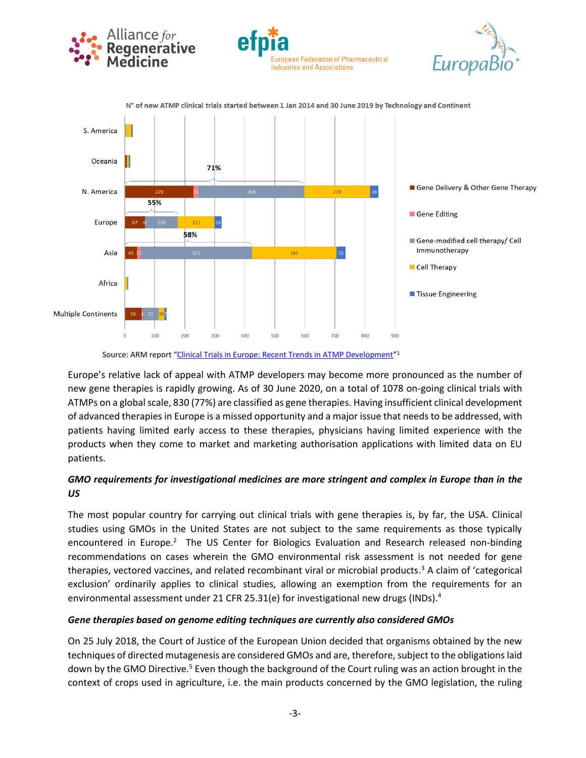

Source: ARM report "[Clinical Trials in Europe: Recent Trends in ATMP Development](https://alliancerm.org/?smd_process_download=1&download_id=5461)"<sup>1</sup>

Europe's relative lack of appeal with ATMP developers may become more pronounced as the number of new gene therapies is rapidly growing. As of 30 June 2020, on a total of 1078 on-going clinical trials with ATMPs on a global scale, 830 (77%) are classified as gene therapies. Having insufficient clinical development of advanced therapies in Europe is a missed opportunity and a major issue that needs to be addressed, with patients having limited early access to these therapies, physicians having limited experience with the products when they come to market and marketing authorisation applications with limited data on EU patients.

## *GMO requirements for investigational medicines are more stringent and complex in Europe than in the US*

The most popular country for carrying out clinical trials with gene therapies is, by far, the USA. Clinical studies using GMOs in the United States are not subject to the same requirements as those typically encountered in Europe.<sup>2</sup> The US Center for Biologics Evaluation and Research released non-binding recommendations on cases wherein the GMO environmental risk assessment is not needed for gene therapies, vectored vaccines, and related recombinant viral or microbial products. <sup>3</sup> A claim of 'categorical exclusion' ordinarily applies to clinical studies, allowing an exemption from the requirements for an environmental assessment under 21 CFR 25.31(e) for investigational new drugs (INDs).<sup>4</sup>

#### *Gene therapies based on genome editing techniques are currently also considered GMOs*

On 25 July 2018, the Court of Justice of the European Union decided that organisms obtained by the new techniques of directed mutagenesis are considered GMOs and are, therefore, subject to the obligations laid down by the GMO Directive.<sup>5</sup> Even though the background of the Court ruling was an action brought in the context of crops used in agriculture, i.e. the main products concerned by the GMO legislation, the ruling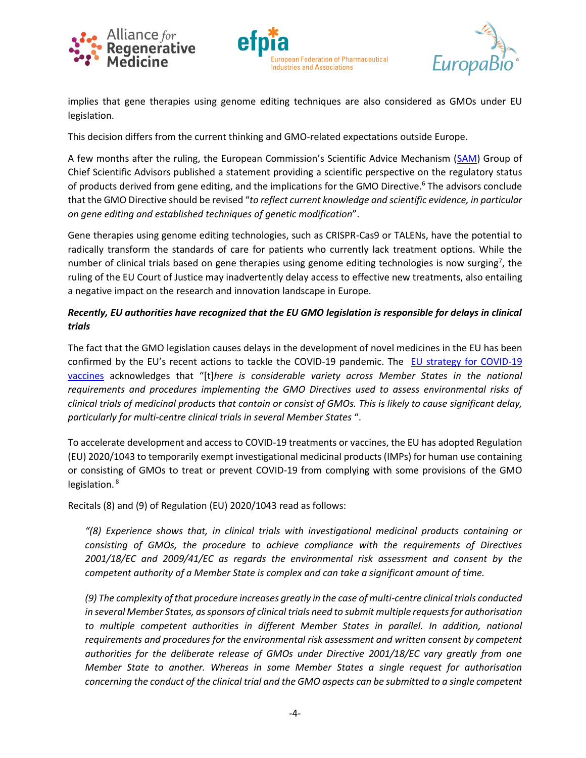





implies that gene therapies using genome editing techniques are also considered as GMOs under EU legislation.

This decision differs from the current thinking and GMO-related expectations outside Europe.

A few months after the ruling, the European Commission's Scientific Advice Mechanism ([SAM\)](https://ec.europa.eu/research/sam/index.cfm?pg=home) Group of Chief Scientific Advisors published a statement providing a scientific perspective on the regulatory status of products derived from gene editing, and the implications for the GMO Directive. <sup>6</sup> The advisors conclude that the GMO Directive should be revised "*to reflect current knowledge and scientific evidence, in particular on gene editing and established techniques of genetic modification*".

Gene therapies using genome editing technologies, such as CRISPR-Cas9 or TALENs, have the potential to radically transform the standards of care for patients who currently lack treatment options. While the number of clinical trials based on gene therapies using genome editing technologies is now surging<sup>7</sup>, the ruling of the EU Court of Justice may inadvertently delay access to effective new treatments, also entailing a negative impact on the research and innovation landscape in Europe.

### *Recently, EU authorities have recognized that the EU GMO legislation is responsible for delays in clinical trials*

The fact that the GMO legislation causes delays in the development of novel medicines in the EU has been confirmed by the EU's recent actions to tackle the COVID-19 pandemic. The EU [strategy](https://ec.europa.eu/info/files/communication-eu-strategy-covid-19-vaccines_en) for COVID-19 vaccines acknowledges that "[t]*here is considerable variety across Member States in the national requirements and procedures implementing the GMO Directives used to assess environmental risks of clinical trials of medicinal products that contain or consist of GMOs. This is likely to cause significant delay, particularly for multi-centre clinical trials in several Member States* ".

To accelerate development and access to COVID-19 treatments or vaccines, the EU has adopted Regulation (EU) 2020/1043 to temporarily exempt investigational medicinal products (IMPs) for human use containing or consisting of GMOs to treat or prevent COVID-19 from complying with some provisions of the GMO legislation. 8

Recitals (8) and (9) of Regulation (EU) 2020/1043 read as follows:

*"(8) Experience shows that, in clinical trials with investigational medicinal products containing or consisting of GMOs, the procedure to achieve compliance with the requirements of Directives 2001/18/EC and 2009/41/EC as regards the environmental risk assessment and consent by the competent authority of a Member State is complex and can take a significant amount of time.*

*(9) The complexity of that procedure increases greatly in the case of multi-centre clinical trials conducted in several Member States, as sponsors of clinical trials need to submit multiple requests for authorisation to multiple competent authorities in different Member States in parallel. In addition, national requirements and procedures for the environmental risk assessment and written consent by competent authorities for the deliberate release of GMOs under Directive 2001/18/EC vary greatly from one Member State to another. Whereas in some Member States a single request for authorisation concerning the conduct of the clinical trial and the GMO aspects can be submitted to a single competent*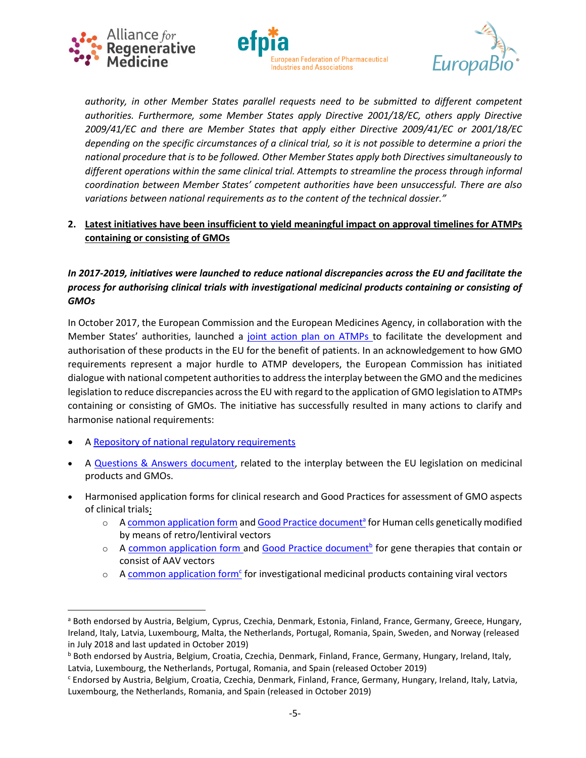





*authority, in other Member States parallel requests need to be submitted to different competent authorities. Furthermore, some Member States apply Directive 2001/18/EC, others apply Directive 2009/41/EC and there are Member States that apply either Directive 2009/41/EC or 2001/18/EC depending on the specific circumstances of a clinical trial, so it is not possible to determine a priori the national procedure that is to be followed. Other Member States apply both Directives simultaneously to different operations within the same clinical trial. Attempts to streamline the process through informal coordination between Member States' competent authorities have been unsuccessful. There are also variations between national requirements as to the content of the technical dossier."*

### **2. Latest initiatives have been insufficient to yield meaningful impact on approval timelines for ATMPs containing or consisting of GMOs**

## *In 2017-2019, initiatives were launched to reduce national discrepancies across the EU and facilitate the process for authorising clinical trials with investigational medicinal products containing or consisting of GMOs*

In October 2017, the European Commission and the European Medicines Agency, in collaboration with the Member States' authorities, launched a [joint action plan on ATMPs](https://www.ema.europa.eu/documents/other/european-commission-dg-health-food-safety-european-medicines-agency-action-plan-advanced-therapy_en.pdf) to facilitate the development and authorisation of these products in the EU for the benefit of patients. In an acknowledgement to how GMO requirements represent a major hurdle to ATMP developers, the European Commission has initiated dialogue with national competent authorities to address the interplay between the GMO and the medicines legislation to reduce discrepancies across the EU with regard to the application of GMO legislation to ATMPs containing or consisting of GMOs. The initiative has successfully resulted in many actions to clarify and harmonise national requirements:

- A [Repository of national regulatory requirements](https://ec.europa.eu/health/human-use/advanced-therapies/gmo_investiganional_en)
- A [Questions & Answers document,](https://ec.europa.eu/health/sites/health/files/files/advtherapies/docs/gmcells_qa_en.pdf) related to the interplay between the EU legislation on medicinal products and GMOs.
- Harmonised application forms for clinical research and Good Practices for assessment of GMO aspects of clinical trials:
	- o [A common application form](https://ec.europa.eu/health/sites/health/files/files/advtherapies/docs/gmcells_caf_en.pdf) an[d Good Practice document](https://ec.europa.eu/health/sites/health/files/files/advtherapies/docs/gmcells_gp_en.pdf)<sup>a</sup> for Human cells genetically modified by means of retro/lentiviral vectors
	- o A [common application form](https://ec.europa.eu/health/sites/health/files/files/advtherapies/docs/aavs_caf_en.pdf) and [Good Practice document](https://ec.europa.eu/health/sites/health/files/files/advtherapies/docs/aavs_gp_en.pdf)<sup>b</sup> for gene therapies that contain or consist of AAV vectors
	- o A [common application form](https://ec.europa.eu/health/sites/health/files/files/advtherapies/docs/vvs_caf_en.pdf)<sup>c</sup> for investigational medicinal products containing viral vectors

a Both endorsed by Austria, Belgium, Cyprus, Czechia, Denmark, Estonia, Finland, France, Germany, Greece, Hungary, Ireland, Italy, Latvia, Luxembourg, Malta, the Netherlands, Portugal, Romania, Spain, Sweden, and Norway (released in July 2018 and last updated in October 2019)

b Both endorsed by Austria, Belgium, Croatia, Czechia, Denmark, Finland, France, Germany, Hungary, Ireland, Italy, Latvia, Luxembourg, the Netherlands, Portugal, Romania, and Spain (released October 2019)

<sup>c</sup> Endorsed by Austria, Belgium, Croatia, Czechia, Denmark, Finland, France, Germany, Hungary, Ireland, Italy, Latvia, Luxembourg, the Netherlands, Romania, and Spain (released in October 2019)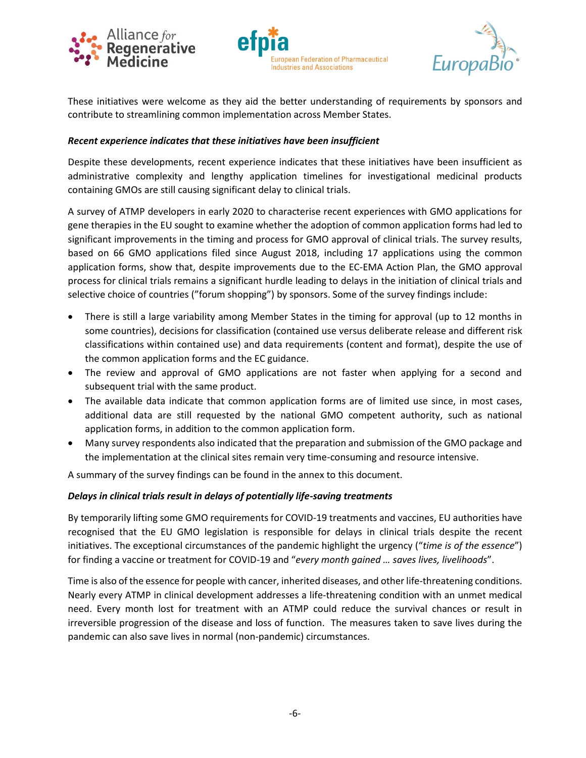





These initiatives were welcome as they aid the better understanding of requirements by sponsors and contribute to streamlining common implementation across Member States.

#### *Recent experience indicates that these initiatives have been insufficient*

Despite these developments, recent experience indicates that these initiatives have been insufficient as administrative complexity and lengthy application timelines for investigational medicinal products containing GMOs are still causing significant delay to clinical trials.

A survey of ATMP developers in early 2020 to characterise recent experiences with GMO applications for gene therapies in the EU sought to examine whether the adoption of common application forms had led to significant improvements in the timing and process for GMO approval of clinical trials. The survey results, based on 66 GMO applications filed since August 2018, including 17 applications using the common application forms, show that, despite improvements due to the EC-EMA Action Plan, the GMO approval process for clinical trials remains a significant hurdle leading to delays in the initiation of clinical trials and selective choice of countries ("forum shopping") by sponsors. Some of the survey findings include:

- There is still a large variability among Member States in the timing for approval (up to 12 months in some countries), decisions for classification (contained use versus deliberate release and different risk classifications within contained use) and data requirements (content and format), despite the use of the common application forms and the EC guidance.
- The review and approval of GMO applications are not faster when applying for a second and subsequent trial with the same product.
- The available data indicate that common application forms are of limited use since, in most cases, additional data are still requested by the national GMO competent authority, such as national application forms, in addition to the common application form.
- Many survey respondents also indicated that the preparation and submission of the GMO package and the implementation at the clinical sites remain very time-consuming and resource intensive.

A summary of the survey findings can be found in the annex to this document.

#### *Delays in clinical trials result in delays of potentially life-saving treatments*

By temporarily lifting some GMO requirements for COVID-19 treatments and vaccines, EU authorities have recognised that the EU GMO legislation is responsible for delays in clinical trials despite the recent initiatives. The exceptional circumstances of the pandemic highlight the urgency ("*time is of the essence*") for finding a vaccine or treatment for COVID-19 and "*every month gained … saves lives, livelihoods*".

Time is also of the essence for people with cancer, inherited diseases, and other life-threatening conditions. Nearly every ATMP in clinical development addresses a life-threatening condition with an unmet medical need. Every month lost for treatment with an ATMP could reduce the survival chances or result in irreversible progression of the disease and loss of function. The measures taken to save lives during the pandemic can also save lives in normal (non-pandemic) circumstances.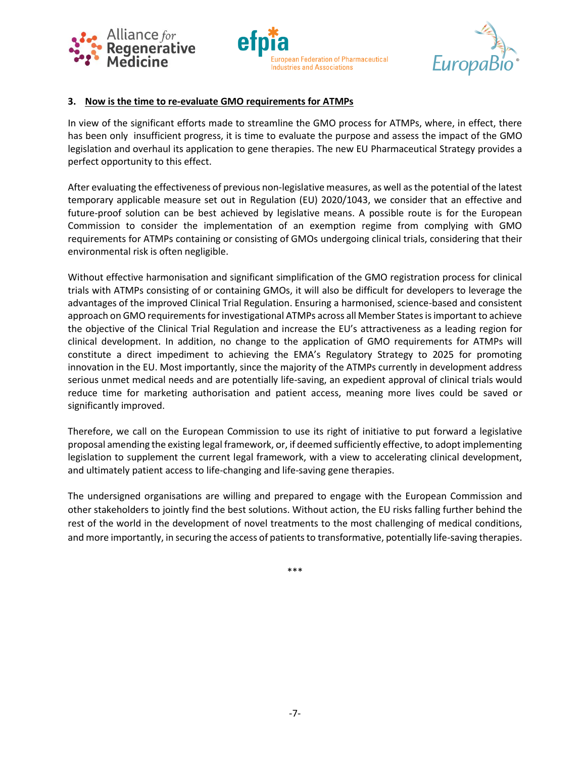





#### **3. Now is the time to re-evaluate GMO requirements for ATMPs**

In view of the significant efforts made to streamline the GMO process for ATMPs, where, in effect, there has been only insufficient progress, it is time to evaluate the purpose and assess the impact of the GMO legislation and overhaul its application to gene therapies. The new EU Pharmaceutical Strategy provides a perfect opportunity to this effect.

After evaluating the effectiveness of previous non-legislative measures, as well asthe potential of the latest temporary applicable measure set out in Regulation (EU) 2020/1043, we consider that an effective and future-proof solution can be best achieved by legislative means. A possible route is for the European Commission to consider the implementation of an exemption regime from complying with GMO requirements for ATMPs containing or consisting of GMOs undergoing clinical trials, considering that their environmental risk is often negligible.

Without effective harmonisation and significant simplification of the GMO registration process for clinical trials with ATMPs consisting of or containing GMOs, it will also be difficult for developers to leverage the advantages of the improved Clinical Trial Regulation. Ensuring a harmonised, science-based and consistent approach on GMO requirements for investigational ATMPs across all Member States is important to achieve the objective of the Clinical Trial Regulation and increase the EU's attractiveness as a leading region for clinical development. In addition, no change to the application of GMO requirements for ATMPs will constitute a direct impediment to achieving the EMA's Regulatory Strategy to 2025 for promoting innovation in the EU. Most importantly, since the majority of the ATMPs currently in development address serious unmet medical needs and are potentially life-saving, an expedient approval of clinical trials would reduce time for marketing authorisation and patient access, meaning more lives could be saved or significantly improved.

Therefore, we call on the European Commission to use its right of initiative to put forward a legislative proposal amending the existing legal framework, or, if deemed sufficiently effective, to adopt implementing legislation to supplement the current legal framework, with a view to accelerating clinical development, and ultimately patient access to life-changing and life-saving gene therapies.

The undersigned organisations are willing and prepared to engage with the European Commission and other stakeholders to jointly find the best solutions. Without action, the EU risks falling further behind the rest of the world in the development of novel treatments to the most challenging of medical conditions, and more importantly, in securing the access of patients to transformative, potentially life-saving therapies.

\*\*\*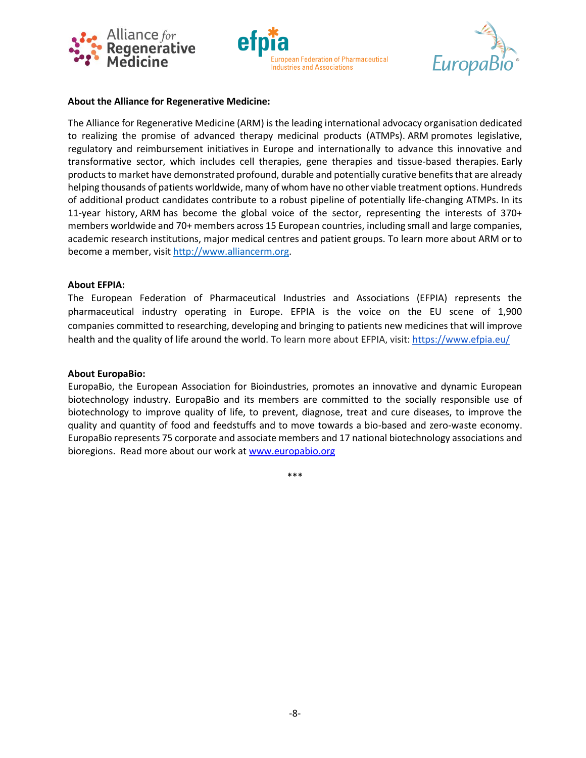





#### **About the Alliance for Regenerative Medicine:**

The Alliance for Regenerative Medicine (ARM) is the leading international advocacy organisation dedicated to realizing the promise of advanced therapy medicinal products (ATMPs). ARM promotes legislative, regulatory and reimbursement initiatives in Europe and internationally to advance this innovative and transformative sector, which includes cell therapies, gene therapies and tissue-based therapies. Early products to market have demonstrated profound, durable and potentially curative benefits that are already helping thousands of patients worldwide, many of whom have no other viable treatment options. Hundreds of additional product candidates contribute to a robust pipeline of potentially life-changing ATMPs. In its 11-year history, ARM has become the global voice of the sector, representing the interests of 370+ members worldwide and 70+ members across 15 European countries, including small and large companies, academic research institutions, major medical centres and patient groups. To learn more about ARM or to become a member, visit [http://www.alliancerm.org.](http://www.alliancerm.org/)

#### **About EFPIA:**

The European Federation of Pharmaceutical Industries and Associations (EFPIA) represents the pharmaceutical industry operating in Europe. EFPIA is the voice on the EU scene of 1,900 companies committed to researching, developing and bringing to patients new medicines that will improve health and the quality of life around the world. To learn more about EFPIA, visit: <https://www.efpia.eu/>

#### **About EuropaBio:**

EuropaBio, the European Association for Bioindustries, promotes an innovative and dynamic European biotechnology industry. EuropaBio and its members are committed to the socially responsible use of biotechnology to improve quality of life, to prevent, diagnose, treat and cure diseases, to improve the quality and quantity of food and feedstuffs and to move towards a bio-based and zero-waste economy. EuropaBio represents 75 corporate and associate members and 17 national biotechnology associations and bioregions. Read more about our work at [www.europabio.org](http://www.europabio.org/)

\*\*\*